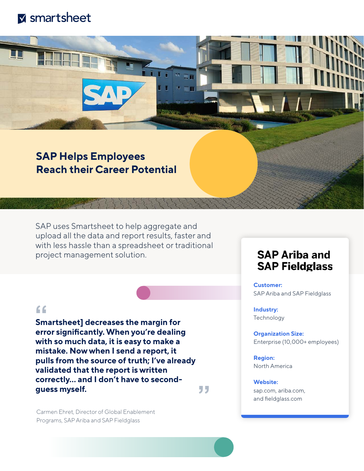

## **SAP Helps Employees Reach their Career Potential**

SAP uses Smartsheet to help aggregate and upload all the data and report results, faster and with less hassle than a spreadsheet or traditional project management solution.

### $66$

**Smartsheet] decreases the margin for error significantly. When you're dealing with so much data, it is easy to make a mistake. Now when I send a report, it pulls from the source of truth; I've already validated that the report is written correctly... and I don't have to secondguess myself.** 99

Carmen Ehret, Director of Global Enablement Programs, SAP Ariba and SAP Fieldglass

## **SAP Ariba and SAP Fieldglass**

**Customer:** SAP Ariba and SAP Fieldglass

**Industry: Technology** 

**Organization Size:** Enterprise (10,000+ employees)

**Region:** North America

**Website:** [sap.com,](https://www.sap.com/index.html) [ariba.com,](https://www.ariba.com/) and [feldglass.com](https://www.fieldglass.com/)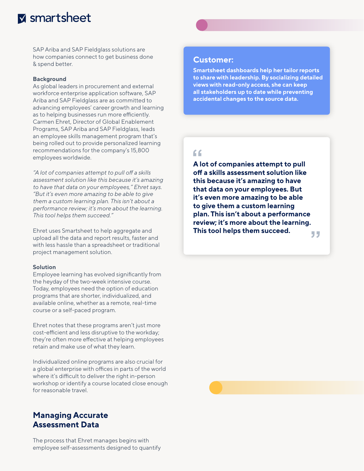# **M** smartsheet

SAP Ariba and SAP Fieldglass solutions are how companies connect to get business done & spend better.

#### **Background**

As global leaders in procurement and external workforce enterprise application software, SAP Ariba and SAP Fieldglass are as committed to advancing employees' career growth and learning as to helping businesses run more efficiently. Carmen Ehret, Director of Global Enablement Programs, SAP Ariba and SAP Fieldglass, leads an employee skills management program that's being rolled out to provide personalized learning recommendations for the company's 15,800 employees worldwide.

*"A lot of companies attempt to pull off a skills assessment solution like this because it's amazing to have that data on your employees," Ehret says. "But it's even more amazing to be able to give them a custom learning plan. This isn't about a performance review; it's more about the learning. This tool helps them succeed."*

Ehret uses Smartsheet to help aggregate and upload all the data and report results, faster and with less hassle than a spreadsheet or traditional project management solution.

#### **Solution**

Employee learning has evolved significantly from the heyday of the two-week intensive course. Today, employees need the option of education programs that are shorter, individualized, and available online, whether as a remote, real-time course or a self-paced program.

Ehret notes that these programs aren't just more cost-efficient and less disruptive to the workday; they're often more effective at helping employees retain and make use of what they learn.

Individualized online programs are also crucial for a global enterprise with offices in parts of the world where it's difficult to deliver the right in-person workshop or identify a course located close enough for reasonable travel.

### **Managing Accurate Assessment Data**

The process that Ehret manages begins with employee self-assessments designed to quantify

#### **Customer:**

**Smartsheet dashboards help her tailor reports to share with leadership. By socializing detailed views with read-only access, she can keep all stakeholders up to date while preventing accidental changes to the source data.**

### $66$

**A lot of companies attempt to pull off a skills assessment solution like this because it's amazing to have that data on your employees. But it's even more amazing to be able to give them a custom learning plan. This isn't about a performance review; it's more about the learning. This tool helps them succeed.**

77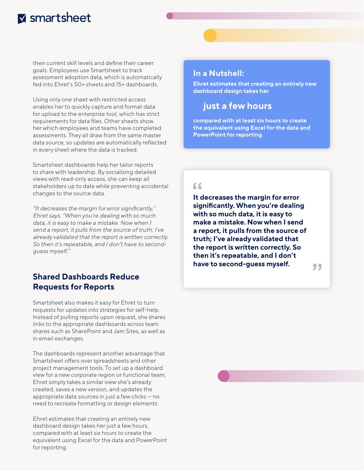# **M** smartsheet

their current skill levels and define their career goals. Employees use Smartsheet to track assessment adoption data, which is automatically fed into Ehret's 50+ sheets and 15+ dashboards.

Using only one sheet with restricted access enables her to quickly capture and format data for upload to the enterprise tool, which has strict requirements for data files. Other sheets show her which employees and teams have completed assessments. They all draw from the same master data source, so updates are automatically reflected in every sheet where the data is tracked.

Smartsheet dashboards help her tailor reports to share with leadership. By socializing detailed views with read-only access, she can keep all stakeholders up to date while preventing accidental changes to the source data.

*"It decreases the margin for error significantly," Ehret says. "When you're dealing with so much data, it is easy to make a mistake. Now when I send a report, it pulls from the source of truth; I've already validated that the report is written correctly. So then it's repeatable, and I don't have to secondguess myself."*

#### **Shared Dashboards Reduce Requests for Reports**

Smartsheet also makes it easy for Ehret to turn requests for updates into strategies for self-help. Instead of pulling reports upon request, she shares links to the appropriate dashboards across team shares such as SharePoint and Jam Sites, as well as in email exchanges.

The dashboards represent another advantage that Smartsheet offers over spreadsheets and other project management tools. To set up a dashboard view for a new corporate region or functional team, Ehret simply takes a similar view she's already created, saves a new version, and updates the appropriate data sources in just a few clicks — no need to recreate formatting or design elements.

Ehret estimates that creating an entirely new dashboard design takes her just a few hours, compared with at least six hours to create the equivalent using Excel for the data and PowerPoint for reporting.

#### **In a Nutshell:**

**Ehret estimates that creating an entirely new dashboard design takes her**

### **just a few hours**

**compared with at least six hours to create the equivalent using Excel for the data and PowerPoint for reporting.**

### $66$

**It decreases the margin for error significantly. When you're dealing with so much data, it is easy to make a mistake. Now when I send a report, it pulls from the source of truth; I've already validated that the report is written correctly. So then it's repeatable, and I don't have to second-guess myself.**

55